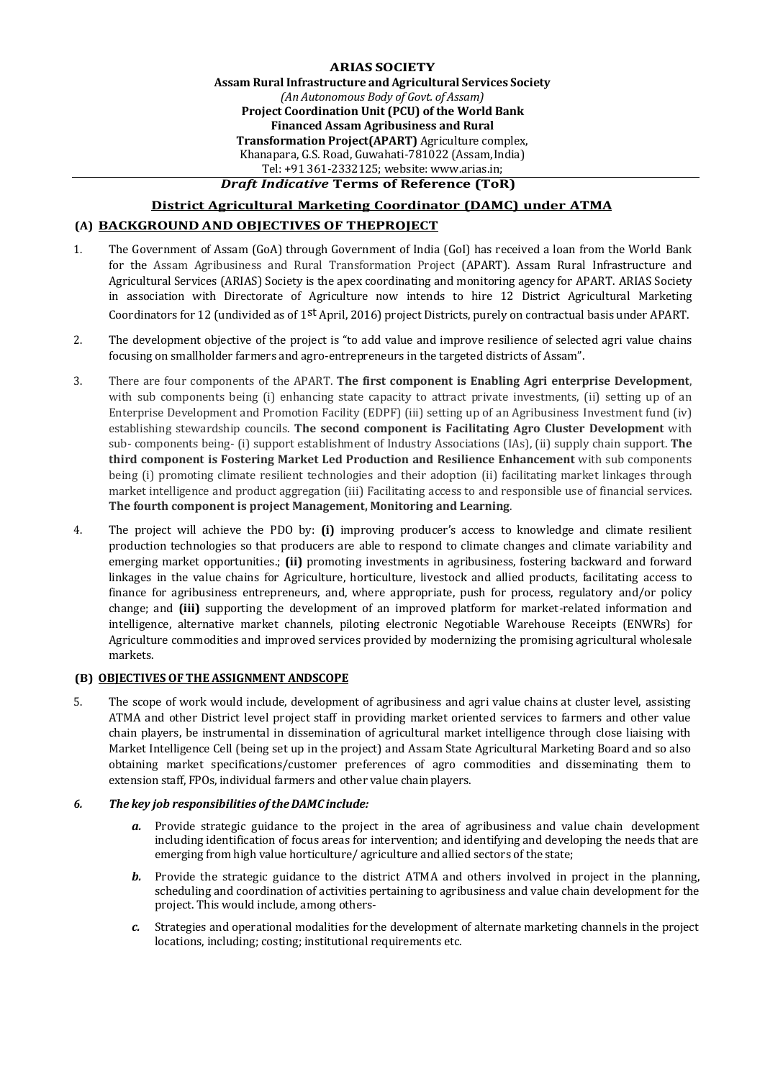**ARIAS SOCIETY Assam Rural Infrastructure and Agricultural Services Society** *(An Autonomous Body of Govt. of Assam)* **Project Coordination Unit (PCU) of the World Bank Financed Assam Agribusiness and Rural Transformation Project(APART)** Agriculture complex, Khanapara, G.S. Road, Guwahati-781022 (Assam,India) Tel: +91 361-2332125; website: www.arias.in;

# *Draft Indicative* **Terms of Reference (ToR)**

# **District Agricultural Marketing Coordinator (DAMC) under ATMA**

# **(A) BACKGROUND AND OBJECTIVES OF THEPROJECT**

- 1. The Government of Assam (GoA) through Government of India (GoI) has received a loan from the World Bank for the Assam Agribusiness and Rural Transformation Project (APART). Assam Rural Infrastructure and Agricultural Services (ARIAS) Society is the apex coordinating and monitoring agency for APART. ARIAS Society in association with Directorate of Agriculture now intends to hire 12 District Agricultural Marketing Coordinators for 12 (undivided as of 1st April, 2016) project Districts, purely on contractual basis under APART.
- 2. The development objective of the project is "to add value and improve resilience of selected agri value chains focusing on smallholder farmers and agro-entrepreneurs in the targeted districts of Assam".
- 3. There are four components of the APART. **The first component is Enabling Agri enterprise Development**, with sub components being (i) enhancing state capacity to attract private investments, (ii) setting up of an Enterprise Development and Promotion Facility (EDPF) (iii) setting up of an Agribusiness Investment fund (iv) establishing stewardship councils. **The second component is Facilitating Agro Cluster Development** with sub- components being- (i) support establishment of Industry Associations (IAs), (ii) supply chain support. **The third component is Fostering Market Led Production and Resilience Enhancement** with sub components being (i) promoting climate resilient technologies and their adoption (ii) facilitating market linkages through market intelligence and product aggregation (iii) Facilitating access to and responsible use of financial services. **The fourth component is project Management, Monitoring and Learning**.
- 4. The project will achieve the PDO by: **(i)** improving producer's access to knowledge and climate resilient production technologies so that producers are able to respond to climate changes and climate variability and emerging market opportunities.; **(ii)** promoting investments in agribusiness, fostering backward and forward linkages in the value chains for Agriculture, horticulture, livestock and allied products, facilitating access to finance for agribusiness entrepreneurs, and, where appropriate, push for process, regulatory and/or policy change; and **(iii)** supporting the development of an improved platform for market-related information and intelligence, alternative market channels, piloting electronic Negotiable Warehouse Receipts (ENWRs) for Agriculture commodities and improved services provided by modernizing the promising agricultural wholesale markets.

#### **(B) OBJECTIVES OFTHE ASSIGNMENT ANDSCOPE**

5. The scope of work would include, development of agribusiness and agri value chains at cluster level, assisting ATMA and other District level project staff in providing market oriented services to farmers and other value chain players, be instrumental in dissemination of agricultural market intelligence through close liaising with Market Intelligence Cell (being set up in the project) and Assam State Agricultural Marketing Board and so also obtaining market specifications/customer preferences of agro commodities and disseminating them to extension staff, FPOs, individual farmers and other value chain players.

#### *6. The key job responsibilities of theDAMC include:*

- *a.* Provide strategic guidance to the project in the area of agribusiness and value chain development including identification of focus areas for intervention; and identifying and developing the needs that are emerging from high value horticulture/ agriculture and allied sectors of the state;
- *b.* Provide the strategic guidance to the district ATMA and others involved in project in the planning, scheduling and coordination of activities pertaining to agribusiness and value chain development for the project. This would include, among others-
- *c.* Strategies and operational modalities for the development of alternate marketing channels in the project locations, including; costing; institutional requirements etc.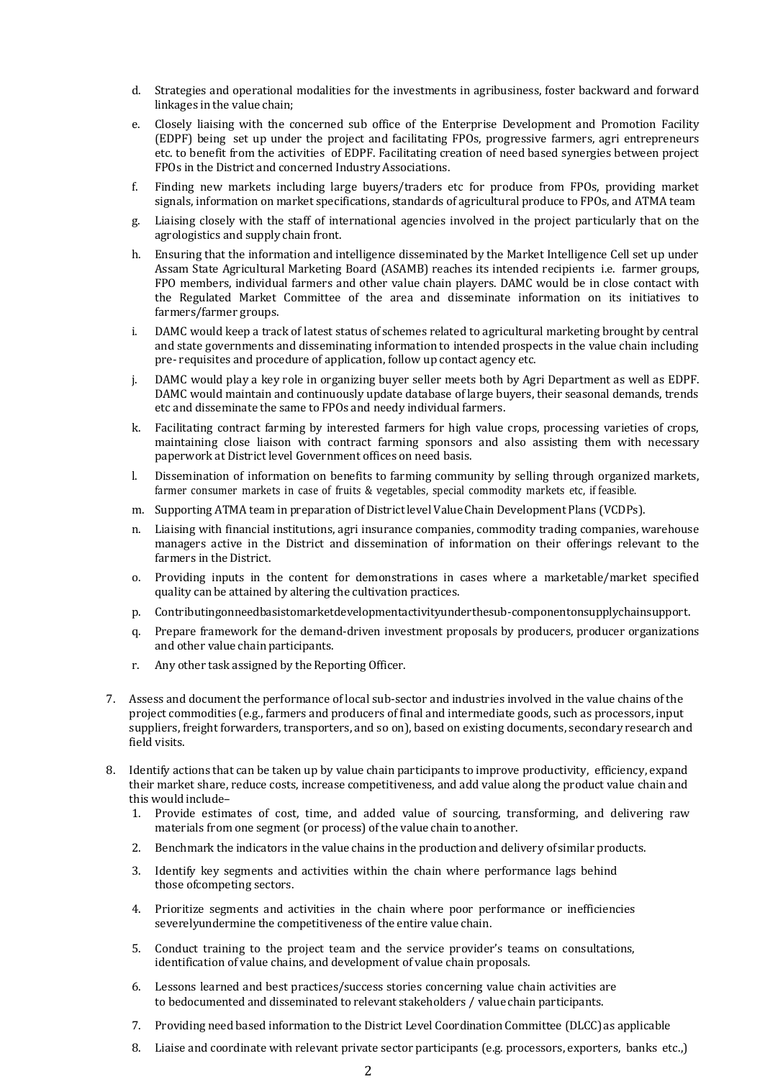- d. Strategies and operational modalities for the investments in agribusiness, foster backward and forward linkages in the value chain;
- e. Closely liaising with the concerned sub office of the Enterprise Development and Promotion Facility (EDPF) being set up under the project and facilitating FPOs, progressive farmers, agri entrepreneurs etc. to benefit from the activities of EDPF. Facilitating creation of need based synergies between project FPOs in the District and concerned IndustryAssociations.
- f. Finding new markets including large buyers/traders etc for produce from FPOs, providing market signals, information on market specifications, standards of agricultural produce to FPOs, and ATMA team
- g. Liaising closely with the staff of international agencies involved in the project particularly that on the agrologistics and supply chain front.
- h. Ensuring that the information and intelligence disseminated by the Market Intelligence Cell set up under Assam State Agricultural Marketing Board (ASAMB) reaches its intended recipients i.e. farmer groups, FPO members, individual farmers and other value chain players. DAMC would be in close contact with the Regulated Market Committee of the area and disseminate information on its initiatives to farmers/farmer groups.
- i. DAMC would keep a track of latest status of schemes related to agricultural marketing brought by central and state governments and disseminating information to intended prospects in the value chain including pre- requisites and procedure of application, follow up contact agency etc.
- DAMC would play a key role in organizing buyer seller meets both by Agri Department as well as EDPF. DAMC would maintain and continuously update database of large buyers, their seasonal demands, trends etc and disseminate the same to FPOs and needy individual farmers.
- k. Facilitating contract farming by interested farmers for high value crops, processing varieties of crops, maintaining close liaison with contract farming sponsors and also assisting them with necessary paperwork at District level Government offices on need basis.
- l. Dissemination of information on benefits to farming community by selling through organized markets, farmer consumer markets in case of fruits & vegetables, special commodity markets etc, if feasible.
- m. Supporting ATMA team in preparation of District level Value Chain Development Plans (VCDPs).
- n. Liaising with financial institutions, agri insurance companies, commodity trading companies, warehouse managers active in the District and dissemination of information on their offerings relevant to the farmers in the District.
- o. Providing inputs in the content for demonstrations in cases where a marketable/market specified quality can be attained by altering the cultivation practices.
- p. Contributingonneedbasistomarketdevelopmentactivityunderthesub-componentonsupplychainsupport.
- q. Prepare framework for the demand-driven investment proposals by producers, producer organizations and other value chain participants.
- r. Any other task assigned by the Reporting Officer.
- 7. Assess and document the performance of local sub-sector and industries involved in the value chains of the project commodities (e.g., farmers and producers of final and intermediate goods, such as processors, input suppliers, freight forwarders, transporters, and so on), based on existing documents, secondary research and field visits.
- 8. Identify actions that can be taken up by value chain participants to improve productivity, efficiency, expand their market share, reduce costs, increase competitiveness, and add value along the product value chain and this would include–
	- 1. Provide estimates of cost, time, and added value of sourcing, transforming, and delivering raw materials from one segment (or process) of the value chain to another.
	- 2. Benchmark the indicators in the value chains in the production and delivery of similar products.
	- 3. Identify key segments and activities within the chain where performance lags behind those ofcompeting sectors.
	- 4. Prioritize segments and activities in the chain where poor performance or inefficiencies severelyundermine the competitiveness of the entire value chain.
	- 5. Conduct training to the project team and the service provider's teams on consultations, identification of value chains, and development of value chain proposals.
	- 6. Lessons learned and best practices/success stories concerning value chain activities are to bedocumented and disseminated to relevant stakeholders / value chain participants.
	- 7. Providing need based information to the District Level Coordination Committee (DLCC)as applicable
	- 8. Liaise and coordinate with relevant private sector participants (e.g. processors, exporters, banks etc.,)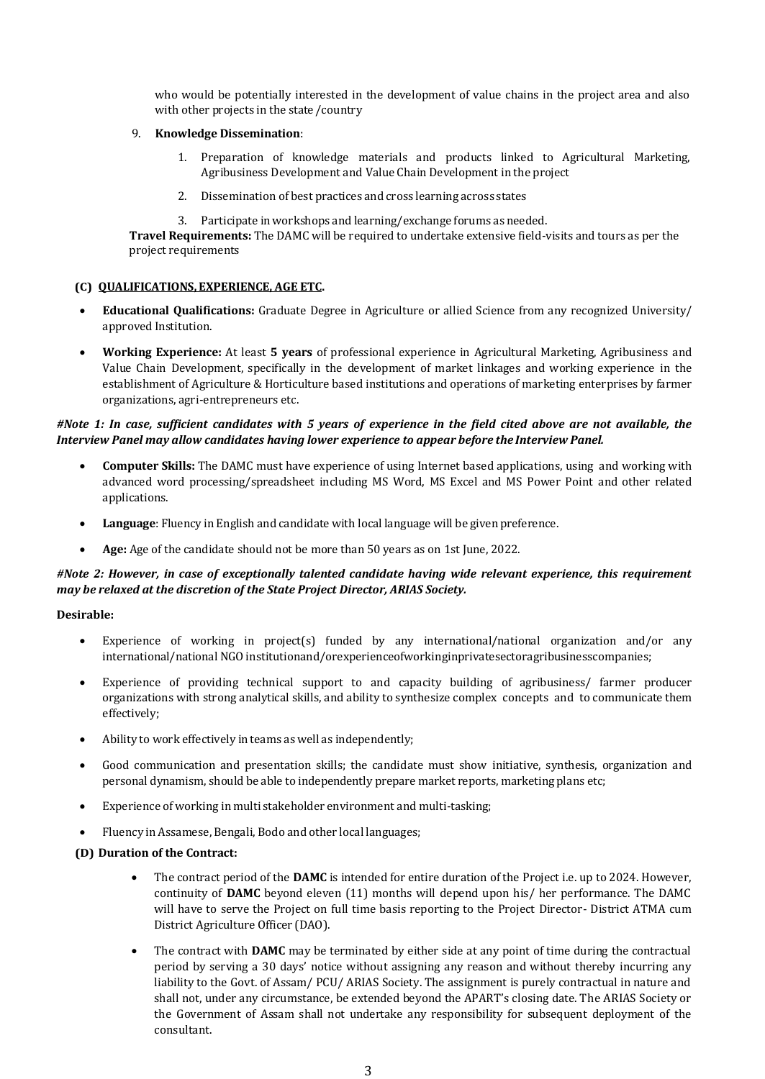who would be potentially interested in the development of value chains in the project area and also with other projects in the state /country

#### 9. **Knowledge Dissemination**:

- 1. Preparation of knowledge materials and products linked to Agricultural Marketing, Agribusiness Development and Value Chain Development in the project
- 2. Dissemination of best practices and cross learning across states
- 3. Participate inworkshops and learning/exchange forums as needed.

**Travel Requirements:** The DAMC will be required to undertake extensive field-visits and tours as per the project requirements

#### **(C) QUALIFICATIONS, EXPERIENCE, AGE ETC.**

- **Educational Qualifications:** Graduate Degree in Agriculture or allied Science from any recognized University/ approved Institution.
- **Working Experience:** At least **5 years** of professional experience in Agricultural Marketing, Agribusiness and Value Chain Development, specifically in the development of market linkages and working experience in the establishment of Agriculture & Horticulture based institutions and operations of marketing enterprises by farmer organizations, agri-entrepreneurs etc.

### *#Note 1: In case, sufficient candidates with 5 years of experience in the field cited above are not available, the Interview Panel may allow candidates having lower experience to appear before the Interview Panel.*

- **Computer Skills:** The DAMC must have experience of using Internet based applications, using and working with advanced word processing/spreadsheet including MS Word, MS Excel and MS Power Point and other related applications.
- **Language**: Fluency in English and candidate with local language will be given preference.
- **Age:** Age of the candidate should not be more than 50 years as on 1st June, 2022.

#### *#Note 2: However, in case of exceptionally talented candidate having wide relevant experience, this requirement may be relaxed at the discretion of the State Project Director, ARIAS Society.*

#### **Desirable:**

- Experience of working in project(s) funded by any international/national organization and/or any international/national NGO institutionand/orexperienceofworkinginprivatesectoragribusinesscompanies;
- Experience of providing technical support to and capacity building of agribusiness/ farmer producer organizations with strong analytical skills, and ability to synthesize complex concepts and to communicate them effectively;
- Ability to work effectively in teams as well as independently;
- Good communication and presentation skills; the candidate must show initiative, synthesis, organization and personal dynamism, should be able to independently prepare market reports, marketing plans etc;
- Experience of working in multi stakeholder environment and multi-tasking;
- Fluency in Assamese, Bengali, Bodo and other local languages;

#### **(D) Duration of the Contract:**

- The contract period of the **DAMC** is intended for entire duration of the Project i.e. up to 2024. However, continuity of **DAMC** beyond eleven (11) months will depend upon his/ her performance. The DAMC will have to serve the Project on full time basis reporting to the Project Director- District ATMA cum District Agriculture Officer (DAO).
- The contract with **DAMC** may be terminated by either side at any point of time during the contractual period by serving a 30 days' notice without assigning any reason and without thereby incurring any liability to the Govt. of Assam/ PCU/ ARIAS Society. The assignment is purely contractual in nature and shall not, under any circumstance, be extended beyond the APART's closing date. The ARIAS Society or the Government of Assam shall not undertake any responsibility for subsequent deployment of the consultant.